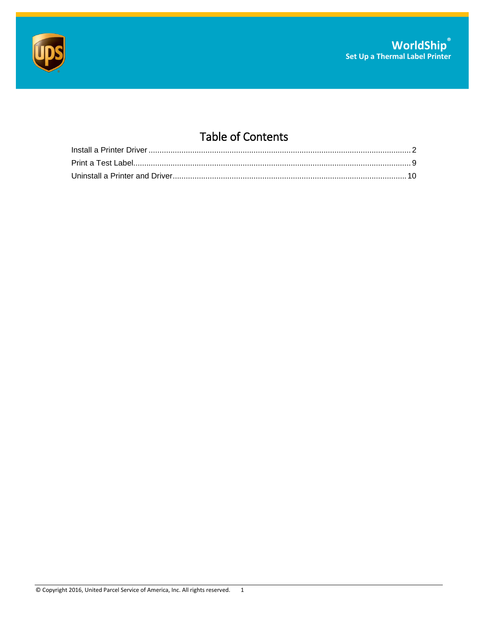



## Table of Contents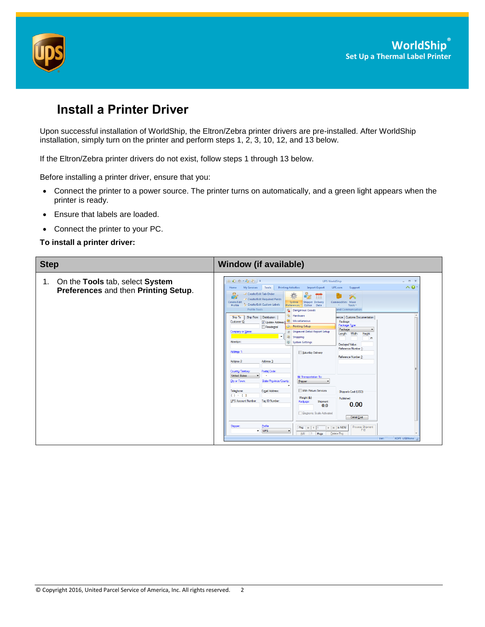

## <span id="page-1-0"></span>**Install a Printer Driver**

Upon successful installation of WorldShip, the Eltron/Zebra printer drivers are pre-installed. After WorldShip installation, simply turn on the printer and perform steps 1, 2, 3, 10, 12, and 13 below.

If the Eltron/Zebra printer drivers do not exist, follow steps 1 through 13 below.

Before installing a printer driver, ensure that you:

- Connect the printer to a power source. The printer turns on automatically, and a green light appears when the printer is ready.
- Ensure that labels are loaded.
- Connect the printer to your PC.

**To install a printer driver:**

| <b>Step</b>                                                                | <b>Window (if available)</b>                                                                                                                                                                                                                                                                                                                                                                                                                                                                                                                                                                                                                                                                                                                                                                                                                                                                                                                                                                                                                                                                                                                                                                                                                                                                                                                                                                                                                                                                                                                                                                                                                                                                                                                         |
|----------------------------------------------------------------------------|------------------------------------------------------------------------------------------------------------------------------------------------------------------------------------------------------------------------------------------------------------------------------------------------------------------------------------------------------------------------------------------------------------------------------------------------------------------------------------------------------------------------------------------------------------------------------------------------------------------------------------------------------------------------------------------------------------------------------------------------------------------------------------------------------------------------------------------------------------------------------------------------------------------------------------------------------------------------------------------------------------------------------------------------------------------------------------------------------------------------------------------------------------------------------------------------------------------------------------------------------------------------------------------------------------------------------------------------------------------------------------------------------------------------------------------------------------------------------------------------------------------------------------------------------------------------------------------------------------------------------------------------------------------------------------------------------------------------------------------------------|
| 1. On the Tools tab, select System<br>Preferences and then Printing Setup. | Ⅲ ◎ 卷 → 毫 喝 )⇒<br><b>UPS WorldShip</b><br>$  \times$<br>$\wedge$ 0<br>Tools<br><b>Printing Activities</b><br>My Services<br>Import-Export<br>UPS.com<br>Support<br>Home<br>Create/Edit Tab Order<br>$\bullet$<br>m<br><del></del><br>Create/Edit Required Fields<br>Commodities More<br>Create/Edit<br>System<br><b>Shipper Delivery</b><br>Create/Edit Custom Labels<br>Profile<br>Tools <sup>*</sup><br>Editor<br>Date<br>Preferences *<br><b>Profile Tools</b><br>and Communication<br>Dangerous Goods<br>Hardware<br>Ship From   Distribution<br>rence   Customs Documentation<br>Ship To<br>Miscellaneous<br>Package<br>Customer ID:<br>V Update Address<br>Package Type:<br><b>De Printing Setup</b><br>Residential<br>Package<br>×<br>Shipment Detail Report Setup<br>Company or Name:<br>Length: Width:<br>Height:<br>$\overline{\phantom{a}}$<br>Shipping<br>in<br>Attention:<br>61<br><b>System Settings</b><br>Declared Value:<br>Reference Number 1<br>Address 1:<br>Saturday Delivery<br>Reference Number 2:<br>Address 3:<br>Address <sub>2</sub> :<br><b>Postal Code:</b><br>Country/Tenttory<br><b>United States</b><br><b>Bill Transportation To:</b><br>State/Province/County<br>City or Town:<br>Shipper<br>$\overline{\phantom{a}}$<br>With Return Services<br>E-mail Address:<br>Telephone:<br>Shipper's Cost (USD)<br>$(1 - 1)$<br>Weight (b)<br>Published:<br>UPS Account Number:<br>Tax ID Number:<br>Package:<br>Shipment:<br>0.00<br>0.0<br><b>Electronic Scale Activated</b><br>Detail Cost<br>Shipper:<br>Profile<br>Process Shipment<br>$\rightarrow$ $\parallel$ $\uparrow$ $\parallel$ is NEW<br><b>Pkg:</b> $ k $ 4 1<br>$-$ UPS<br>F10<br>۰<br>Add<br>Pkgs<br>Delete Pkg<br>$\blacksquare$<br>XOFY USI:None<br>Ver: |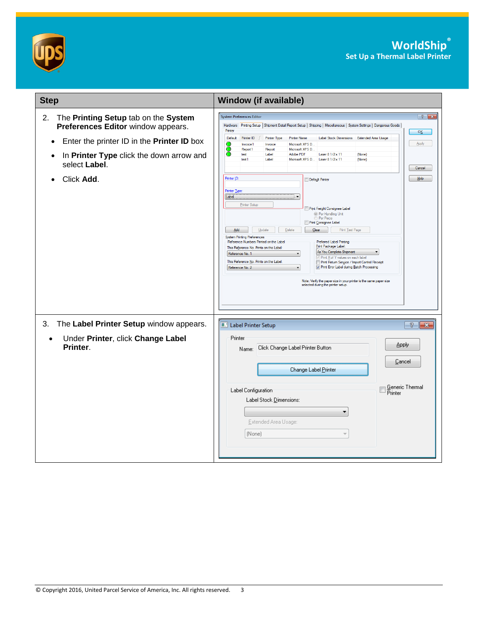



| <b>Step</b>                                                                      | <b>Window (if available)</b>                                                                                                                                                                                                                                                                                                                                                                                                                                                                                                                                                                                                                                                                                                                                                                                                                                                                                |
|----------------------------------------------------------------------------------|-------------------------------------------------------------------------------------------------------------------------------------------------------------------------------------------------------------------------------------------------------------------------------------------------------------------------------------------------------------------------------------------------------------------------------------------------------------------------------------------------------------------------------------------------------------------------------------------------------------------------------------------------------------------------------------------------------------------------------------------------------------------------------------------------------------------------------------------------------------------------------------------------------------|
| The Printing Setup tab on the System<br>2.<br>Preferences Editor window appears. | $\left  \right $ $\left  \right $ $\left  \right $ $\left  \right $<br><b>System Preferences Editor</b><br>Hardware Printing Setup   Shipment Detail Report Setup   Shipping   Miscellaneous   System Settings   Dangerous Goods  <br>Printer<br>OK                                                                                                                                                                                                                                                                                                                                                                                                                                                                                                                                                                                                                                                         |
| Enter the printer ID in the Printer ID box                                       | Default<br>Printer ID<br>Printer Type<br><b>Printer Name</b><br>Label Stock Dimensions<br><b>Extended Area Usage</b><br>Apply<br>Invoice1<br>Invoice<br>Microsoft XPS D                                                                                                                                                                                                                                                                                                                                                                                                                                                                                                                                                                                                                                                                                                                                     |
| In Printer Type click the down arrow and<br>select Label.                        | Report <sub>1</sub><br>Report<br>Microsoft XPS D<br>Adobe PDF<br>Label<br>Laser 8 1/2 x 11<br>(None)<br>test<br>Microsoft XPS D Laser 8 1/2 x 11<br>test1<br>Label<br>(None)<br>Cancel                                                                                                                                                                                                                                                                                                                                                                                                                                                                                                                                                                                                                                                                                                                      |
| Click Add.                                                                       | Printer ID:<br>Help<br>Default Printer<br>Printer Type<br>Label<br>$\overline{\phantom{a}}$<br>Printer Setup<br>Print Freight Consignee Label<br><sup>O</sup> Per Handling Unit<br>Per Piece<br>Print Consignee Label<br>Delete<br>$C$ lear<br>Print Test Page<br>Add<br>Update<br><b>System Printing Preferences</b><br>Reference Numbers Printed on the Label<br>Preferred Label Printing<br>Print Package Label<br>This Reference No. Prints on the Label:<br>As You Complete Shipment<br>$\blacktriangledown$<br>Reference No. 1<br>$\overline{\phantom{a}}$<br>Print X of Y values on each label<br>This Reference No. Prints on the Label:<br>Print Return Service / Import Control Receipt<br>7 Print Error Label during Batch Processing<br>Reference No. 2<br>$\overline{\phantom{a}}$<br>Note: Verify the paper size in your printer is the same paper size<br>selected during the printer setup. |
| The Label Printer Setup window appears.<br>3.                                    | Label Printer Setup<br>$\frac{3}{2}$ $\mathbf{x}$                                                                                                                                                                                                                                                                                                                                                                                                                                                                                                                                                                                                                                                                                                                                                                                                                                                           |
| Under Printer, click Change Label<br>Printer.                                    | Printer<br>Apply<br>Click Change Label Printer Button<br>Name:<br>Cancel<br>Change Label Printer<br>Generic Thermal<br>Label Configuration<br>Printer<br>Label Stock Dimensions:<br>۰<br>Extended Area Usage:<br>(None)                                                                                                                                                                                                                                                                                                                                                                                                                                                                                                                                                                                                                                                                                     |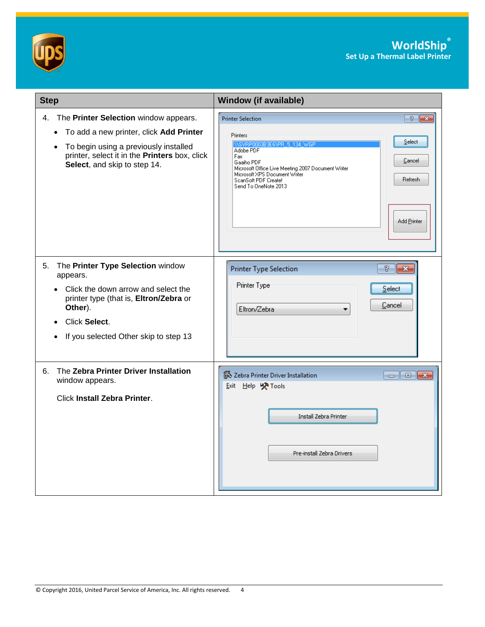



| <b>Step</b>                                                                                                                                                                                                                             | <b>Window (if available)</b>                                                                                                                                                                                                                                                                                                                                                                                                                                                                                                                               |
|-----------------------------------------------------------------------------------------------------------------------------------------------------------------------------------------------------------------------------------------|------------------------------------------------------------------------------------------------------------------------------------------------------------------------------------------------------------------------------------------------------------------------------------------------------------------------------------------------------------------------------------------------------------------------------------------------------------------------------------------------------------------------------------------------------------|
| 4. The Printer Selection window appears.<br>To add a new printer, click Add Printer<br>$\bullet$<br>To begin using a previously installed<br>$\bullet$<br>printer, select it in the Printers box, click<br>Select, and skip to step 14. | $\sqrt{2}$<br><b>Printer Selection</b><br>Printers<br>Select<br>VISVRP0003B3E6VPR 5 134 WGP<br>Adobe PDF<br>Fax<br>Cancel<br>Gaaiho PDF<br>Microsoft Office Live Meeting 2007 Document Writer<br>Microsoft XPS Document Writer<br><b>Refresh</b><br>ScanSoft PDF Create!<br>Send To OneNote 2013<br>Add Printer                                                                                                                                                                                                                                            |
| The Printer Type Selection window<br>5.<br>appears.<br>Click the down arrow and select the<br>printer type (that is, Eltron/Zebra or<br>Other).<br>Click Select.<br>If you selected Other skip to step 13                               | T<br><b>Printer Type Selection</b><br>$\mathbf{z}$<br>Printer Type<br>Select<br>Cancel<br>Eltron/Zebra                                                                                                                                                                                                                                                                                                                                                                                                                                                     |
| The Zebra Printer Driver Installation<br>6.<br>window appears.<br><b>Click Install Zebra Printer.</b>                                                                                                                                   | <b>怒 Zebra Printer Driver Installation</b><br>$\begin{array}{c c c c c} \hline \multicolumn{1}{c }{-1} & \multicolumn{1}{c }{-1} \multicolumn{1}{c }{-1} \multicolumn{1}{c }{-1} \multicolumn{1}{c }{-1} \multicolumn{1}{c }{-1} \multicolumn{1}{c }{-1} \multicolumn{1}{c }{-1} \multicolumn{1}{c }{-1} \multicolumn{1}{c }{-1} \multicolumn{1}{c }{-1} \multicolumn{1}{c }{-1} \multicolumn{1}{c }{-1} \multicolumn{1}{c }{-1} \multicolumn{1}{c }{-1} \multicolumn{1$<br>Exit Help X Tools<br><b>Install Zebra Printer</b><br>Pre-install Zebra Drivers |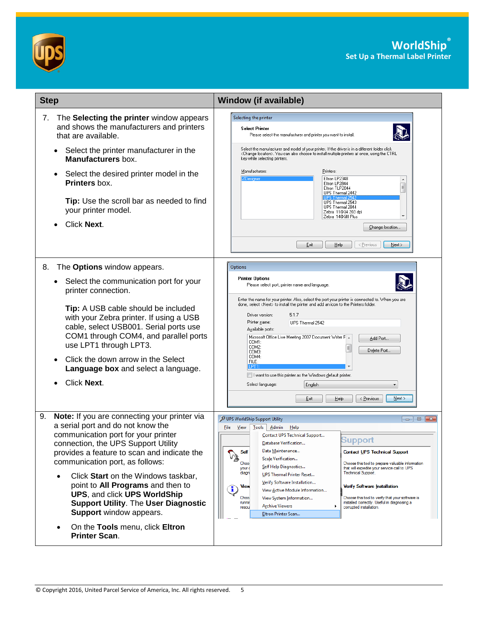



| <b>Step</b>                                                                                                                                                                                                                                                                                                                                                                                                                                                                                                                        | <b>Window (if available)</b>                                                                                                                                                                                                                                                                                                                                                                                                                                                                                                                                                                                                                                                                                                                                                                                                                                        |
|------------------------------------------------------------------------------------------------------------------------------------------------------------------------------------------------------------------------------------------------------------------------------------------------------------------------------------------------------------------------------------------------------------------------------------------------------------------------------------------------------------------------------------|---------------------------------------------------------------------------------------------------------------------------------------------------------------------------------------------------------------------------------------------------------------------------------------------------------------------------------------------------------------------------------------------------------------------------------------------------------------------------------------------------------------------------------------------------------------------------------------------------------------------------------------------------------------------------------------------------------------------------------------------------------------------------------------------------------------------------------------------------------------------|
| The Selecting the printer window appears<br>7.<br>and shows the manufacturers and printers<br>that are available.<br>Select the printer manufacturer in the<br>$\bullet$<br>Manufacturers box.<br>Select the desired printer model in the<br>$\bullet$<br>Printers box.<br>Tip: Use the scroll bar as needed to find<br>your printer model.<br>Click Next.                                                                                                                                                                         | Selecting the printer<br><b>Select Printer</b><br>Please select the manufacturer and printer you want to install<br>Select the manufacturer and model of your printer. If the driver is in a different folder click<br><change location="">. You can also choose to install multiple printers at once, using the CTRL<br/>key while selecting printers.<br/>Manufacturers:<br/>Printers:<br/>Eltron LP2348<br/><b>ZDesigner</b><br/>Eltron LP2844<br/>E<br/>Eltron TLP2044<br/>UPS Thermal 2442<br/>UPS Thermal 2543<br/>UPS Thermal 2844<br/>Zebra 110Xi4 203 dpi<br/>Zebra 140Xilll Plus<br/>Change location<br/>Exit<br/>Help<br/>&lt; Previous<br/>Next &gt;</change>                                                                                                                                                                                           |
| The Options window appears.<br>8.<br>Select the communication port for your<br>$\bullet$<br>printer connection.<br>Tip: A USB cable should be included<br>with your Zebra printer. If using a USB<br>cable, select USB001. Serial ports use<br>COM1 through COM4, and parallel ports<br>use LPT1 through LPT3.<br>Click the down arrow in the Select<br>Language box and select a language.<br>Click Next.                                                                                                                         | Options<br><b>Printer Options</b><br>Please select port, printer name and language.<br>Enter the name for your printer. Also, select the port your printer is connected to. When you are<br>done, select <next> to install the printer and add an icon to the Printers folder.<br/>5.1.7<br/>Driver version:<br/>Printer name:<br/>UPS Thermal 2542<br/>Available ports:<br/>Microsoft Office Live Meeting 2007 Document Writer F &amp;<br/>Add Port<br/>COM1:<br/>COM2:<br/>Ξ<br/>Delete Port<br/>COM3:<br/>COM4:<br/>FILE:<br/>LPT1<br/>I want to use this printer as the Windows default printer.<br/>Select language:<br/>English<br/>▼<br/><math>N</math>ext &gt;<br/>Exit<br/>He<br/>&lt; Previous</next>                                                                                                                                                     |
| 9.<br>Note: If you are connecting your printer via<br>a serial port and do not know the<br>communication port for your printer<br>connection, the UPS Support Utility<br>provides a feature to scan and indicate the<br>communication port, as follows:<br>Click Start on the Windows taskbar,<br>$\bullet$<br>point to All Programs and then to<br>UPS, and click UPS WorldShip<br><b>Support Utility. The User Diagnostic</b><br>Support window appears.<br>On the Tools menu, click Eltron<br>$\bullet$<br><b>Printer Scan.</b> | UPS WorldShip Support Utility<br>File<br><b>View</b><br>$\overline{I}$ ools<br><u>A</u> dmin<br>Help<br>Contact UPS Technical Support<br>Support<br>Database Verification<br>Data Maintenance<br><b>Self</b><br>Contact UPS Technical Support<br>$\mathbb{N}^{\mathbb{Z}}$<br>Scale Verification<br>Choo<br>Choose this tool to prepare valuable information<br>Self Help Diagnostics<br>that will expedite your service call to UPS<br>your (<br>Technical Support.<br>diagn<br>UPS Thermal Printer Reset<br>Verify Software Installation<br><b>View</b><br>Verify Software Installation<br>ţ<br>View Active Module Information<br>Choo<br>Choose this tool to verify that your software is<br>View System Information<br>installed correctly. Useful in diagnosing a<br>runnir<br><b>Archive Viewers</b><br>compted installation.<br>resou<br>Eltron Printer Scan |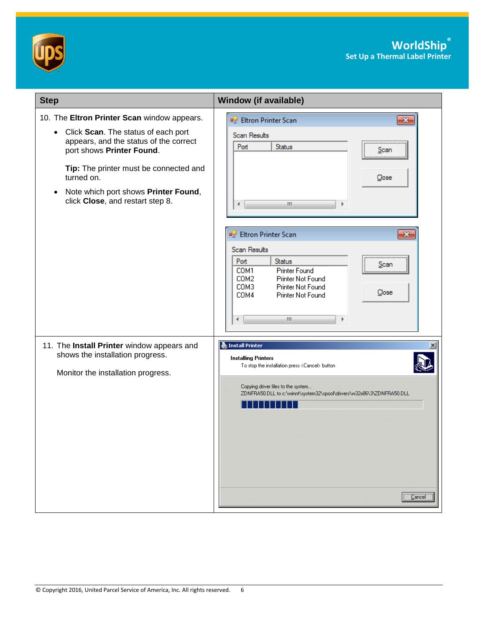



| <b>Step</b>                                                                                                                                                                                                                                                                                                             | <b>Window (if available)</b>                                                                                                                                                                                                                |
|-------------------------------------------------------------------------------------------------------------------------------------------------------------------------------------------------------------------------------------------------------------------------------------------------------------------------|---------------------------------------------------------------------------------------------------------------------------------------------------------------------------------------------------------------------------------------------|
| 10. The Eltron Printer Scan window appears.<br>Click Scan. The status of each port<br>$\bullet$<br>appears, and the status of the correct<br>port shows Printer Found.<br>Tip: The printer must be connected and<br>turned on.<br>Note which port shows Printer Found,<br>$\bullet$<br>click Close, and restart step 8. | <b>P.</b> Eltron Printer Scan<br>$\mathbf{x}$<br>Scan Results<br>Status<br>Port<br>Scan<br>Close<br>m.<br>∢<br>Þ                                                                                                                            |
|                                                                                                                                                                                                                                                                                                                         | <b>P.</b> Eltron Printer Scan<br>$\mathbf{x}$<br><b>Scan Results</b><br>Port<br>Status<br>Scan<br>COM1<br>Printer Found<br>COM2<br>Printer Not Found<br>COM3<br>Printer Not Found<br>Close<br>COM4<br>Printer Not Found<br>m.<br>Þ<br>∢     |
| 11. The Install Printer window appears and<br>shows the installation progress.<br>Monitor the installation progress.                                                                                                                                                                                                    | Install Printer<br><b>Installing Printers</b><br>To stop the installation press <cancel> button<br/>Copying driver files to the system<br/>ZDNFRA50.DLL to c:\winnt\system32\spool\drivers\w32x86\3\ZDNFRA50.DLL<br/><u>Cancel</u></cancel> |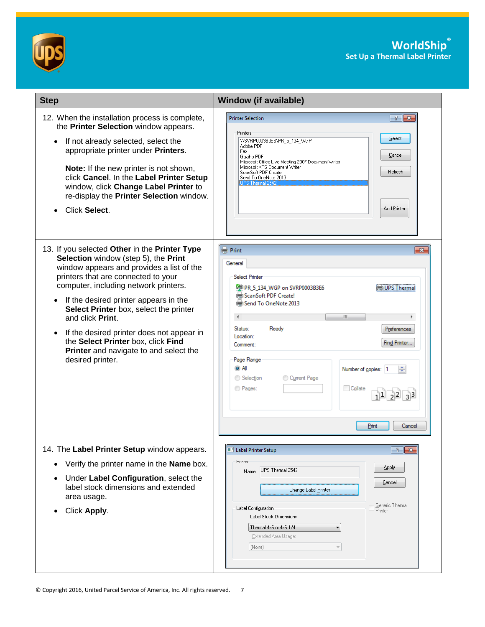



| <b>Step</b>                                                                                                                                                                                                                                                                                                                                                                                                                                                                                          | <b>Window (if available)</b>                                                                                                                                                                                                                                                                                                                                                               |
|------------------------------------------------------------------------------------------------------------------------------------------------------------------------------------------------------------------------------------------------------------------------------------------------------------------------------------------------------------------------------------------------------------------------------------------------------------------------------------------------------|--------------------------------------------------------------------------------------------------------------------------------------------------------------------------------------------------------------------------------------------------------------------------------------------------------------------------------------------------------------------------------------------|
| 12. When the installation process is complete,<br>the Printer Selection window appears.<br>If not already selected, select the<br>$\bullet$<br>appropriate printer under Printers.<br><b>Note:</b> If the new printer is not shown,<br>click Cancel. In the Label Printer Setup<br>window, click Change Label Printer to<br>re-display the Printer Selection window.<br>Click Select.                                                                                                                | <b>Printer Selection</b><br>$\frac{1}{2}$ $\mathbf{x}$<br>Printers<br>Select<br>\\SVRP0003B3E6\PR_5_134_WGP<br>Adobe PDF<br>Fax<br>Cancel<br>Gaaiho PDF<br>Microsoft Office Live Meeting 2007 Document Writer<br>Microsoft XPS Document Writer<br>Refresh<br>ScanSoft PDF Create!<br>Send To OneNote 2013<br>IPS Thermal 2540<br>Add Printer                                               |
| 13. If you selected Other in the Printer Type<br>Selection window (step 5), the Print<br>window appears and provides a list of the<br>printers that are connected to your<br>computer, including network printers.<br>If the desired printer appears in the<br>$\bullet$<br>Select Printer box, select the printer<br>and click Print.<br>If the desired printer does not appear in<br>$\bullet$<br>the Select Printer box, click Find<br>Printer and navigate to and select the<br>desired printer. | <b>Real Print</b><br>$\mathbf{x}$<br>General<br><b>Select Printer</b><br>PR_5_134_WGP on SVRP0003B3E6<br>UPS Thermal<br>ScanSoft PDF Create!<br>Send To OneNote 2013<br>∢<br>m,<br>Þ.<br>Status:<br>Ready<br>Preferences<br>Location:<br>Find Printer<br>Comment:<br>Page Range<br>o ai<br>÷<br>Number of copies: 1<br>Selection<br>Current Page<br>O Pages:<br>Collate<br>Print<br>Cancel |
| 14. The Label Printer Setup window appears.<br>Verify the printer name in the Name box.<br>Under Label Configuration, select the<br>label stock dimensions and extended<br>area usage.<br>Click Apply.                                                                                                                                                                                                                                                                                               | $\frac{1}{2}$<br><b>L'</b> Label Printer Setup<br>Printer<br>Apply<br>Name: UPS Thermal 2542<br>Cancel<br>Change Label Printer<br>] <u>G</u> eneric Thermal<br>Printer<br>Label Configuration<br>Label Stock Dimensions:<br>Thermal 4x6 or 4x6 1/4<br>۰<br>Extended Area Usage:<br>(None)                                                                                                  |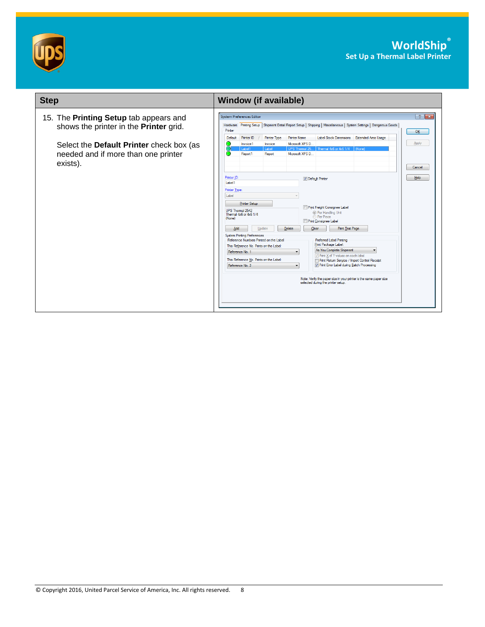



| <b>Step</b>                                                                                                                                                                            | <b>Window (if available)</b>                                                                                                                                                                                                                                                                                                                                                                                                                                                                                                                                                                                                                                                                                                                                                                                                                                                                                                                                                                                                                                                                                                                                                                                                                                                                                                                                                                    |
|----------------------------------------------------------------------------------------------------------------------------------------------------------------------------------------|-------------------------------------------------------------------------------------------------------------------------------------------------------------------------------------------------------------------------------------------------------------------------------------------------------------------------------------------------------------------------------------------------------------------------------------------------------------------------------------------------------------------------------------------------------------------------------------------------------------------------------------------------------------------------------------------------------------------------------------------------------------------------------------------------------------------------------------------------------------------------------------------------------------------------------------------------------------------------------------------------------------------------------------------------------------------------------------------------------------------------------------------------------------------------------------------------------------------------------------------------------------------------------------------------------------------------------------------------------------------------------------------------|
| 15. The Printing Setup tab appears and<br>shows the printer in the <b>Printer</b> grid.<br>Select the Default Printer check box (as<br>needed and if more than one printer<br>exists). | $\frac{1}{2}$<br><b>System Preferences Editor</b><br>Hardware Printing Setup Shipment Detail Report Setup   Shipping   Miscellaneous   System Settings   Dangerous Goods<br>Printer<br>OK<br><b>Printer Name</b><br>Label Stock Dimensions Extended Area Usage<br>Default<br>Printer ID<br><b>Printer Type</b><br>Apply<br>Microsoft XPS D<br>Invoice1<br>Invoice<br>Thermal 4x6 or 4x6 1/4<br>UPS Themal 25.<br>  (None)<br>Label1<br>Label<br>Report1<br>Report<br>Microsoft XPS D.,<br>Cancel<br>Printer ID:<br>Help<br>Default Printer<br>Label1<br><b>Printer Type:</b><br>Label<br><b>Printer Setup</b><br>Print Freight Consignee Label<br>UPS Themal 2542<br><sup>O</sup> Per Handling Unit<br>Thermal 4x6 or 4x6 1/4<br><b>Per Piece</b><br>(None)<br><b>Print Consignee Label</b><br>Print Test Page<br>Delete<br>Add<br>Update<br>Clear<br><b>System Printing Preferences</b><br>Reference Numbers Printed on the Label<br>Preferred Label Printing<br>Print Package Label:<br>This Reference No. Prints on the Label:<br>As You Complete Shipment<br>Reference No. 1<br>Print X of Y values on each label<br>This Reference No. Prints on the Label:<br>Print Return Service / Import Control Receipt<br>7 Print Error Label during Batch Processing<br>Reference No. 2<br>Note: Verify the paper size in your printer is the same paper size<br>selected during the printer setup. |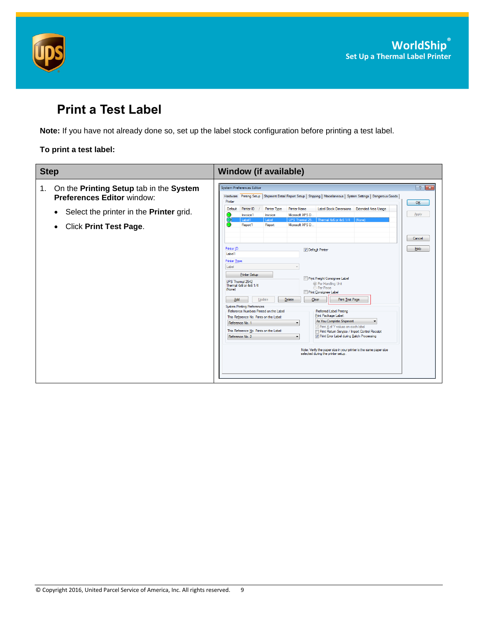



# <span id="page-8-0"></span>**Print a Test Label**

**Note:** If you have not already done so, set up the label stock configuration before printing a test label.

#### **To print a test label:**

| <b>Step</b>                                                                                                                                                                                     | <b>Window (if available)</b>                                                                                                                                                                                                                                                                                                                                                                                                                                                                                                                                                                                                                                                                                                                                                                                                                                                                                    |
|-------------------------------------------------------------------------------------------------------------------------------------------------------------------------------------------------|-----------------------------------------------------------------------------------------------------------------------------------------------------------------------------------------------------------------------------------------------------------------------------------------------------------------------------------------------------------------------------------------------------------------------------------------------------------------------------------------------------------------------------------------------------------------------------------------------------------------------------------------------------------------------------------------------------------------------------------------------------------------------------------------------------------------------------------------------------------------------------------------------------------------|
| On the Printing Setup tab in the System<br>1.<br><b>Preferences Editor window:</b><br>Select the printer in the <b>Printer</b> grid.<br>$\bullet$<br><b>Click Print Test Page.</b><br>$\bullet$ | $\left  \n\right $ $\mathbf{x}$<br>System Preferences Editor<br>Hardware Printing Setup Shipment Detail Report Setup   Shipping   Miscellaneous   System Settings   Dangerous Goods  <br>Printer<br>OK<br>Label Stock Dimensions<br>Printer ID<br><b>Printer Type</b><br><b>Printer Name</b><br><b>Extended Area Usage</b><br>Default<br>Apply<br>Microsoft XPS D<br>Invoice1<br>Invoice<br>Thermal 4x6 or 4x6 1/4 (None)<br>Label1<br>UPS Themal 25.<br>Label<br>Microsoft XPS D.<br>Report1<br>Report                                                                                                                                                                                                                                                                                                                                                                                                         |
|                                                                                                                                                                                                 | Cancel<br>Printer ID:<br>Help<br>Default Printer<br>Label1<br>Printer Type:<br>Label<br><b>Printer Setup</b><br>Print Freight Consignee Label<br>UPS Themal 2542<br><sup>O</sup> Per Handling Unit<br>Thermal 4x6 or 4x6 1/4<br><b>Per Piece</b><br>(None)<br>Print Consignee Label<br>Delete<br>Clear<br>Print Test Page<br>Add<br>Update<br><b>System Printing Preferences</b><br>Reference Numbers Printed on the Label<br>Preferred Label Printing<br>Print Package Label:<br>This Reference No. Prints on the Label:<br>As You Complete Shipment<br>$\blacktriangledown$<br>Reference No. 1<br>Thint X of Y values on each label<br>This Reference No. Prints on the Label:<br>Print Return Service / Import Control Receipt<br>V Print Error Label during Batch Processing<br>Reference No. 2<br>Note: Verify the paper size in your printer is the same paper size<br>selected during the printer setup. |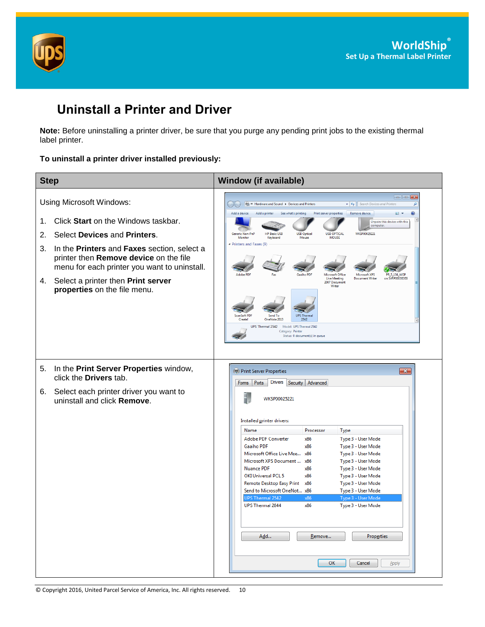



### <span id="page-9-0"></span>**Uninstall a Printer and Driver**

**Note:** Before uninstalling a printer driver, be sure that you purge any pending print jobs to the existing thermal label printer.

#### **To uninstall a printer driver installed previously:**

| <b>Step</b>          |                                                                                                                                                                                                                                                                                                                | <b>Window (if available)</b>                                                                                                                                                                                                                                                                                                                                                                                                                                                                                                                                                                                                                                                                                                                                                                                                                            |
|----------------------|----------------------------------------------------------------------------------------------------------------------------------------------------------------------------------------------------------------------------------------------------------------------------------------------------------------|---------------------------------------------------------------------------------------------------------------------------------------------------------------------------------------------------------------------------------------------------------------------------------------------------------------------------------------------------------------------------------------------------------------------------------------------------------------------------------------------------------------------------------------------------------------------------------------------------------------------------------------------------------------------------------------------------------------------------------------------------------------------------------------------------------------------------------------------------------|
| 1.<br>2.<br>3.<br>4. | Using Microsoft Windows:<br>Click Start on the Windows taskbar.<br>Select Devices and Printers.<br>In the Printers and Faxes section, select a<br>printer then Remove device on the file<br>menu for each printer you want to uninstall.<br>Select a printer then Print server<br>properties on the file menu. | <b>Example 3</b> << Hardware and Sound > Devices and Printers<br>$\bullet$ $\bullet$ $\bullet$ Search Devices and Printers<br>ρ<br>Add a device<br>Add a printer<br>Remove device<br>$\circledast$<br>See what's printing<br><b>Print server properties</b><br>$\Xi$ +<br>Unpairs this device with this<br>computer.<br><b>HP Basic USB</b><br><b>WKSP00025221</b><br><b>USB Optical</b><br><b>USB OPTICAL</b><br><b>Generic Non-PnP</b><br><b>MOUSE</b><br>Monitor<br>Keyboard<br>Mouse<br>Printers and Faxes (9)<br>Microsoft Office<br>Microsoft XPS<br>Live Meeting<br><b>Document Writer</b><br>on SVRP0003B3F6<br>2007 Document<br>Writer<br><b>ScanSoft PDF</b><br>Send To<br><b>UPS Thermal</b><br>OneNote 2013<br>2542<br><b>Create!</b><br>UPS Thermal 2542<br>Model: UPS Thermal 2542<br>Category: Printer<br>Status: 0 document(s) in queue |
| 5.<br>6.             | In the Print Server Properties window,<br>click the Drivers tab.<br>Select each printer driver you want to<br>uninstall and click Remove.                                                                                                                                                                      | <b>Geb Print Server Properties</b><br>$\mathbf{x}$<br>Drivers Security<br>Ports<br>Advanced<br>Forms<br>WKSP00025221<br>Installed printer drivers:<br>Processor<br><b>Type</b><br>Name<br>Type 3 - User Mode<br><b>Adobe PDF Converter</b><br>x86<br><b>Gaaiho PDF</b><br>x86<br>Type 3 - User Mode<br>Microsoft Office Live Mee<br>Type 3 - User Mode<br>x86<br>Microsoft XPS Document  x86<br>Type 3 - User Mode<br><b>Nuance PDF</b><br>x86<br>Type 3 - User Mode<br><b>OKI Universal PCL 5</b><br>Type 3 - User Mode<br>x86<br>Remote Desktop Easy Print x86<br>Type 3 - User Mode<br>Send to Microsoft OneNot x86<br>Type 3 - User Mode<br><b>UPS Thermal 2542</b><br>Type 3 - User Mode<br>x86<br><b>UPS Thermal 2844</b><br>x86<br>Type 3 - User Mode<br>Add<br>Remove<br>Properties<br>OK<br>Cancel<br>Apply                                    |